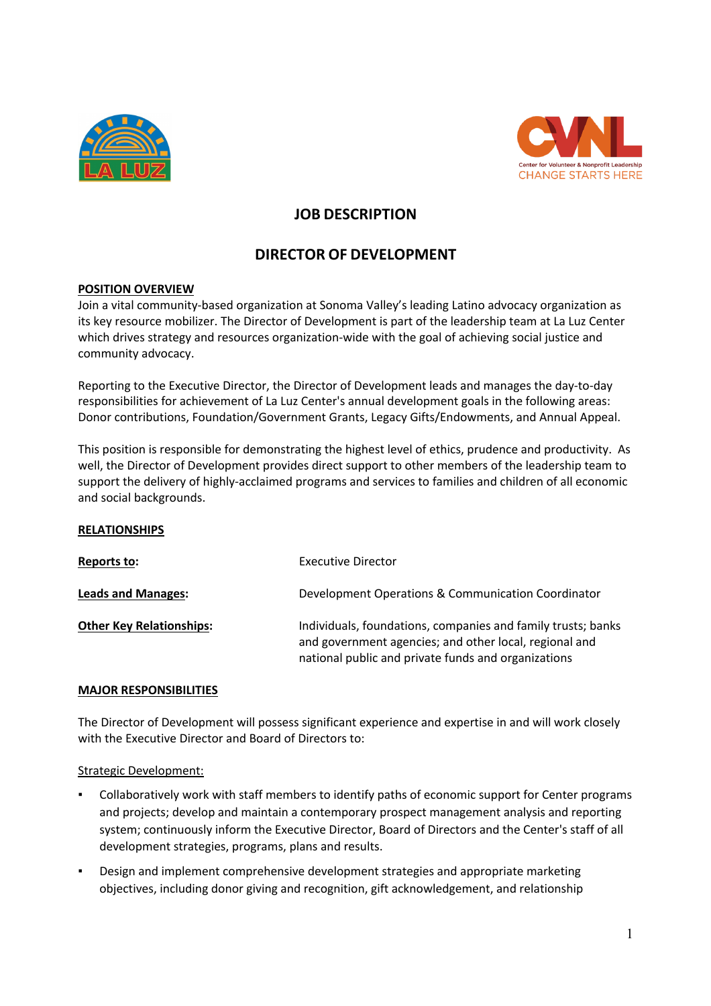



# **JOB DESCRIPTION**

# **DIRECTOR OF DEVELOPMENT**

## **POSITION OVERVIEW**

Join a vital community-based organization at Sonoma Valley's leading Latino advocacy organization as its key resource mobilizer. The Director of Development is part of the leadership team at La Luz Center which drives strategy and resources organization-wide with the goal of achieving social justice and community advocacy.

Reporting to the Executive Director, the Director of Development leads and manages the day-to-day responsibilities for achievement of La Luz Center's annual development goals in the following areas: Donor contributions, Foundation/Government Grants, Legacy Gifts/Endowments, and Annual Appeal.

This position is responsible for demonstrating the highest level of ethics, prudence and productivity. As well, the Director of Development provides direct support to other members of the leadership team to support the delivery of highly-acclaimed programs and services to families and children of all economic and social backgrounds.

## **RELATIONSHIPS**

| Reports to:                     | <b>Executive Director</b>                                                                                                                                                     |
|---------------------------------|-------------------------------------------------------------------------------------------------------------------------------------------------------------------------------|
| <b>Leads and Manages:</b>       | Development Operations & Communication Coordinator                                                                                                                            |
| <b>Other Key Relationships:</b> | Individuals, foundations, companies and family trusts; banks<br>and government agencies; and other local, regional and<br>national public and private funds and organizations |

## **MAJOR RESPONSIBILITIES**

The Director of Development will possess significant experience and expertise in and will work closely with the Executive Director and Board of Directors to:

## Strategic Development:

- Collaboratively work with staff members to identify paths of economic support for Center programs and projects; develop and maintain a contemporary prospect management analysis and reporting system; continuously inform the Executive Director, Board of Directors and the Center's staff of all development strategies, programs, plans and results.
- Design and implement comprehensive development strategies and appropriate marketing objectives, including donor giving and recognition, gift acknowledgement, and relationship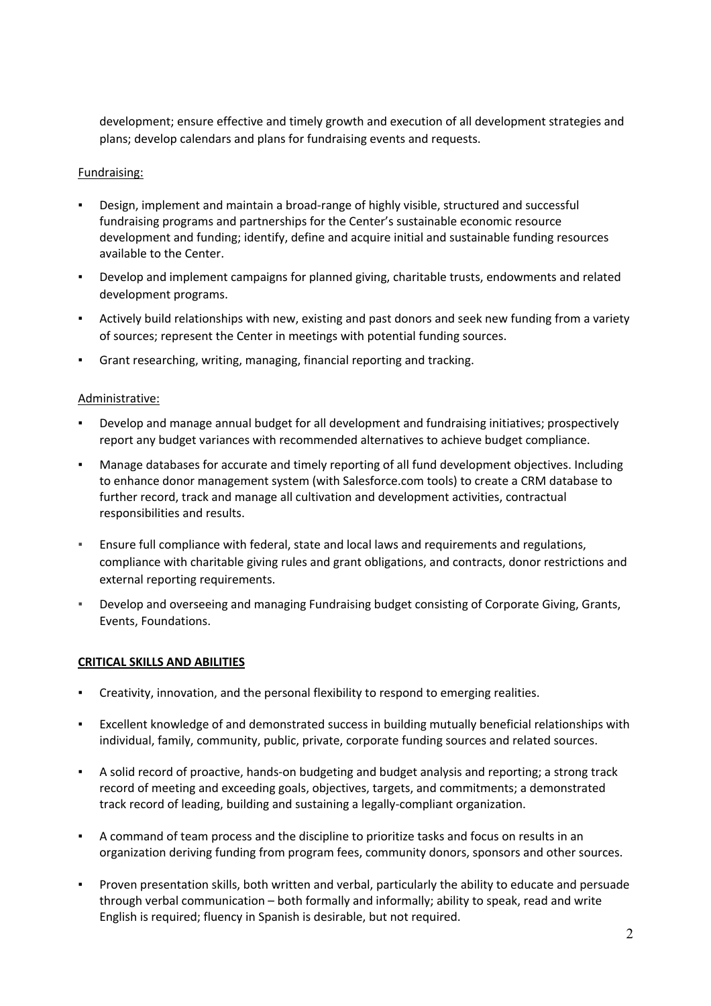development; ensure effective and timely growth and execution of all development strategies and plans; develop calendars and plans for fundraising events and requests.

## Fundraising:

- Design, implement and maintain a broad-range of highly visible, structured and successful fundraising programs and partnerships for the Center's sustainable economic resource development and funding; identify, define and acquire initial and sustainable funding resources available to the Center.
- Develop and implement campaigns for planned giving, charitable trusts, endowments and related development programs.
- **EXTENDI** Actively build relationships with new, existing and past donors and seek new funding from a variety of sources; represent the Center in meetings with potential funding sources.
- Grant researching, writing, managing, financial reporting and tracking.

## Administrative:

- Develop and manage annual budget for all development and fundraising initiatives; prospectively report any budget variances with recommended alternatives to achieve budget compliance.
- **Manage databases for accurate and timely reporting of all fund development objectives. Including** to enhance donor management system (with Salesforce.com tools) to create a CRM database to further record, track and manage all cultivation and development activities, contractual responsibilities and results.
- **E** Ensure full compliance with federal, state and local laws and requirements and regulations, compliance with charitable giving rules and grant obligations, and contracts, donor restrictions and external reporting requirements.
- Develop and overseeing and managing Fundraising budget consisting of Corporate Giving, Grants, Events, Foundations.

## **CRITICAL SKILLS AND ABILITIES**

- Creativity, innovation, and the personal flexibility to respond to emerging realities.
- Excellent knowledge of and demonstrated success in building mutually beneficial relationships with individual, family, community, public, private, corporate funding sources and related sources.
- A solid record of proactive, hands-on budgeting and budget analysis and reporting; a strong track record of meeting and exceeding goals, objectives, targets, and commitments; a demonstrated track record of leading, building and sustaining a legally-compliant organization.
- A command of team process and the discipline to prioritize tasks and focus on results in an organization deriving funding from program fees, community donors, sponsors and other sources.
- Proven presentation skills, both written and verbal, particularly the ability to educate and persuade through verbal communication – both formally and informally; ability to speak, read and write English is required; fluency in Spanish is desirable, but not required.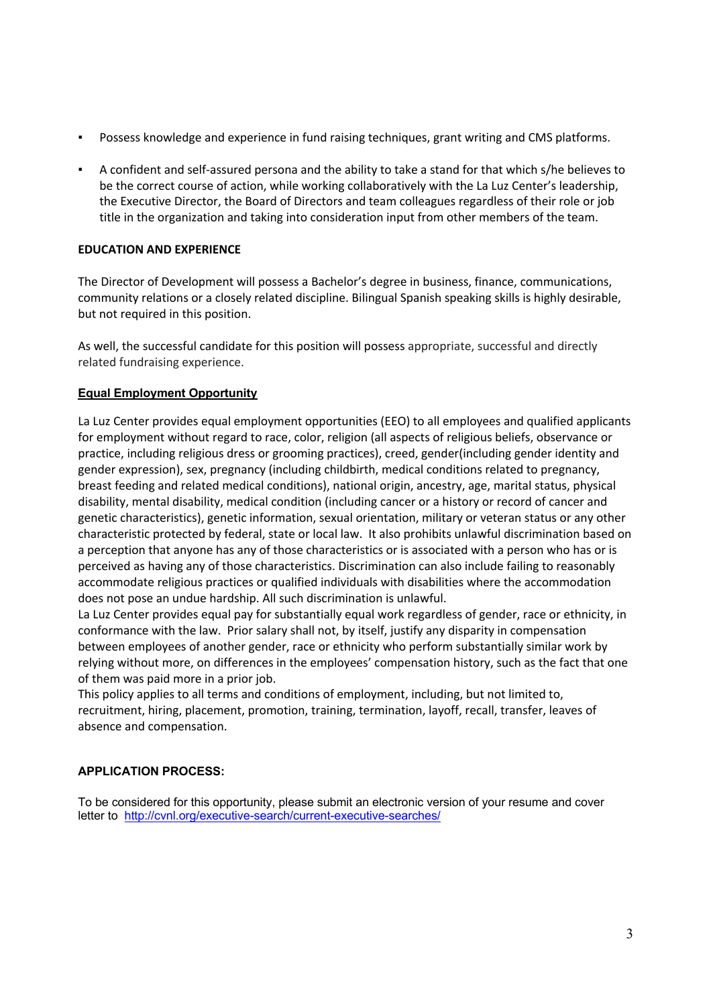- Possess knowledge and experience in fund raising techniques, grant writing and CMS platforms.
- A confident and self-assured persona and the ability to take a stand for that which s/he believes to be the correct course of action, while working collaboratively with the La Luz Center's leadership, the Executive Director, the Board of Directors and team colleagues regardless of their role or job title in the organization and taking into consideration input from other members of the team.

## **EDUCATION AND EXPERIENCE**

The Director of Development will possess a Bachelor's degree in business, finance, communications, community relations or a closely related discipline. Bilingual Spanish speaking skills is highly desirable, but not required in this position.

As well, the successful candidate for this position will possess appropriate, successful and directly related fundraising experience.

## **Equal Employment Opportunity**

La Luz Center provides equal employment opportunities (EEO) to all employees and qualified applicants for employment without regard to race, color, religion (all aspects of religious beliefs, observance or practice, including religious dress or grooming practices), creed, gender(including gender identity and gender expression), sex, pregnancy (including childbirth, medical conditions related to pregnancy, breast feeding and related medical conditions), national origin, ancestry, age, marital status, physical disability, mental disability, medical condition (including cancer or a history or record of cancer and genetic characteristics), genetic information, sexual orientation, military or veteran status or any other characteristic protected by federal, state or local law. It also prohibits unlawful discrimination based on a perception that anyone has any of those characteristics or is associated with a person who has or is perceived as having any of those characteristics. Discrimination can also include failing to reasonably accommodate religious practices or qualified individuals with disabilities where the accommodation does not pose an undue hardship. All such discrimination is unlawful.

La Luz Center provides equal pay for substantially equal work regardless of gender, race or ethnicity, in conformance with the law. Prior salary shall not, by itself, justify any disparity in compensation between employees of another gender, race or ethnicity who perform substantially similar work by relying without more, on differences in the employees' compensation history, such as the fact that one of them was paid more in a prior job.

This policy applies to all terms and conditions of employment, including, but not limited to, recruitment, hiring, placement, promotion, training, termination, layoff, recall, transfer, leaves of absence and compensation.

## **APPLICATION PROCESS:**

To be considered for this opportunity, please submit an electronic version of your resume and cover letter to http://cvnl.org/executive-search/current-executive-searches/